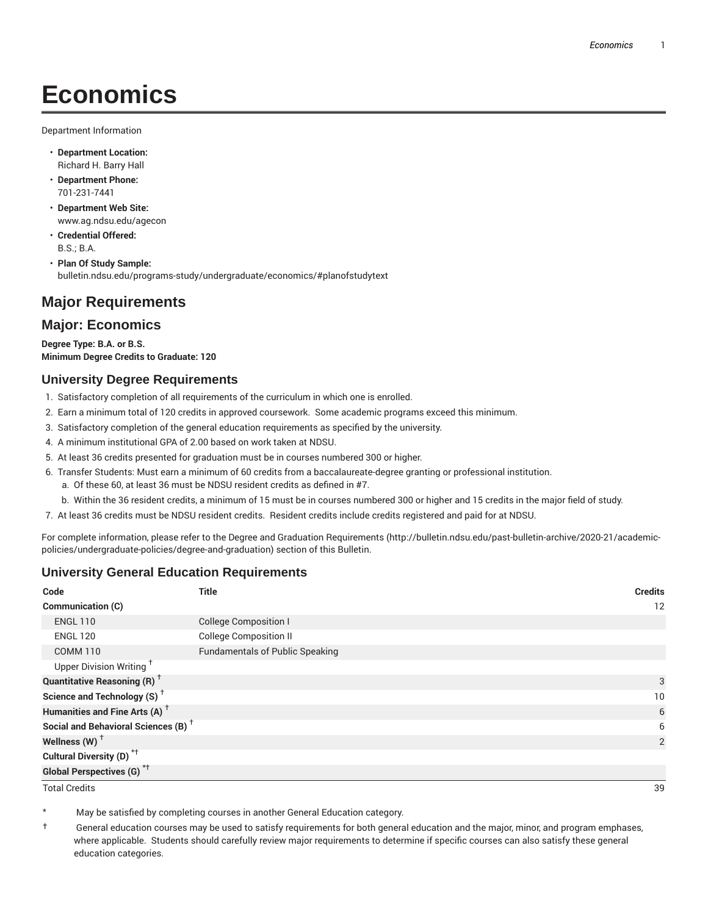# **Economics**

Department Information

- **Department Location:** Richard H. Barry Hall
- **Department Phone:** 701-231-7441
- **Department Web Site:** www.ag.ndsu.edu/agecon
- **Credential Offered:** B.S.; B.A.
- **Plan Of Study Sample:** bulletin.ndsu.edu/programs-study/undergraduate/economics/#planofstudytext

# **Major Requirements**

# **Major: Economics**

**Degree Type: B.A. or B.S. Minimum Degree Credits to Graduate: 120**

### **University Degree Requirements**

- 1. Satisfactory completion of all requirements of the curriculum in which one is enrolled.
- 2. Earn a minimum total of 120 credits in approved coursework. Some academic programs exceed this minimum.
- 3. Satisfactory completion of the general education requirements as specified by the university.
- 4. A minimum institutional GPA of 2.00 based on work taken at NDSU.
- 5. At least 36 credits presented for graduation must be in courses numbered 300 or higher.
- 6. Transfer Students: Must earn a minimum of 60 credits from a baccalaureate-degree granting or professional institution.
	- a. Of these 60, at least 36 must be NDSU resident credits as defined in #7.
	- b. Within the 36 resident credits, a minimum of 15 must be in courses numbered 300 or higher and 15 credits in the major field of study.
- 7. At least 36 credits must be NDSU resident credits. Resident credits include credits registered and paid for at NDSU.

For complete information, please refer to the Degree and Graduation Requirements (http://bulletin.ndsu.edu/past-bulletin-archive/2020-21/academicpolicies/undergraduate-policies/degree-and-graduation) section of this Bulletin.

### **University General Education Requirements**

| Code                                            | <b>Title</b>                           | <b>Credits</b> |
|-------------------------------------------------|----------------------------------------|----------------|
| <b>Communication (C)</b>                        |                                        | 12             |
| <b>ENGL 110</b>                                 | <b>College Composition I</b>           |                |
| <b>ENGL 120</b>                                 | <b>College Composition II</b>          |                |
| <b>COMM 110</b>                                 | <b>Fundamentals of Public Speaking</b> |                |
| Upper Division Writing <sup>+</sup>             |                                        |                |
| <b>Quantitative Reasoning (R)</b> <sup>†</sup>  |                                        | 3              |
| Science and Technology (S) <sup>+</sup>         |                                        | 10             |
| Humanities and Fine Arts (A) <sup>+</sup>       |                                        | 6              |
| Social and Behavioral Sciences (B) <sup>+</sup> |                                        | 6              |
| Wellness $(W)$ <sup>+</sup>                     |                                        | 2              |
| Cultural Diversity (D) <sup>*†</sup>            |                                        |                |
| Global Perspectives (G) <sup>*†</sup>           |                                        |                |

Total Credits 39

May be satisfied by completing courses in another General Education category.

† General education courses may be used to satisfy requirements for both general education and the major, minor, and program emphases, where applicable. Students should carefully review major requirements to determine if specific courses can also satisfy these general education categories.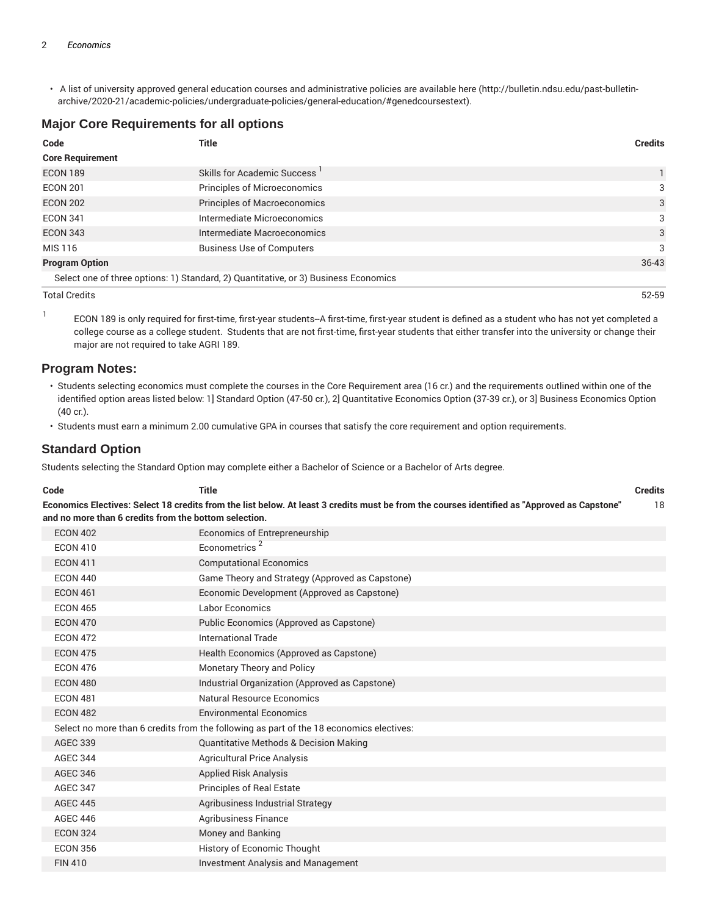• A list of university approved general education courses and administrative policies are available here (http://bulletin.ndsu.edu/past-bulletinarchive/2020-21/academic-policies/undergraduate-policies/general-education/#genedcoursestext).

# **Major Core Requirements for all options**

| Code                                                                                | Title                                    | <b>Credits</b> |
|-------------------------------------------------------------------------------------|------------------------------------------|----------------|
| <b>Core Requirement</b>                                                             |                                          |                |
| <b>ECON 189</b>                                                                     | Skills for Academic Success <sup>1</sup> |                |
| <b>ECON 201</b>                                                                     | Principles of Microeconomics             | 3              |
| <b>ECON 202</b>                                                                     | <b>Principles of Macroeconomics</b>      | 3              |
| <b>ECON 341</b>                                                                     | Intermediate Microeconomics              | 3              |
| <b>ECON 343</b>                                                                     | Intermediate Macroeconomics              | 3              |
| MIS 116                                                                             | <b>Business Use of Computers</b>         | 3              |
| <b>Program Option</b>                                                               |                                          | 36-43          |
| Select one of three options: 1) Standard, 2) Quantitative, or 3) Business Economics |                                          |                |

Total Credits 52-59

1 ECON 189 is only required for first-time, first-year students--A first-time, first-year student is defined as a student who has not yet completed a college course as a college student. Students that are not first-time, first-year students that either transfer into the university or change their major are not required to take AGRI 189.

# **Program Notes:**

• Students selecting economics must complete the courses in the Core Requirement area (16 cr.) and the requirements outlined within one of the identified option areas listed below: 1] Standard Option (47-50 cr.), 2] Quantitative Economics Option (37-39 cr.), or 3] Business Economics Option (40 cr.).

• Students must earn a minimum 2.00 cumulative GPA in courses that satisfy the core requirement and option requirements.

# **Standard Option**

Students selecting the Standard Option may complete either a Bachelor of Science or a Bachelor of Arts degree.

| Code                                                                                                                                                                                                  | <b>Title</b>                                                                            | <b>Credits</b> |
|-------------------------------------------------------------------------------------------------------------------------------------------------------------------------------------------------------|-----------------------------------------------------------------------------------------|----------------|
| Economics Electives: Select 18 credits from the list below. At least 3 credits must be from the courses identified as "Approved as Capstone"<br>and no more than 6 credits from the bottom selection. |                                                                                         |                |
| <b>ECON 402</b>                                                                                                                                                                                       | Economics of Entrepreneurship                                                           |                |
| <b>ECON 410</b>                                                                                                                                                                                       | Econometrics <sup>2</sup>                                                               |                |
| <b>ECON 411</b>                                                                                                                                                                                       | <b>Computational Economics</b>                                                          |                |
| <b>ECON 440</b>                                                                                                                                                                                       | Game Theory and Strategy (Approved as Capstone)                                         |                |
| <b>ECON 461</b>                                                                                                                                                                                       | Economic Development (Approved as Capstone)                                             |                |
| <b>ECON 465</b>                                                                                                                                                                                       | Labor Economics                                                                         |                |
| <b>ECON 470</b>                                                                                                                                                                                       | Public Economics (Approved as Capstone)                                                 |                |
| <b>ECON 472</b>                                                                                                                                                                                       | <b>International Trade</b>                                                              |                |
| <b>ECON 475</b>                                                                                                                                                                                       | Health Economics (Approved as Capstone)                                                 |                |
| <b>ECON 476</b>                                                                                                                                                                                       | <b>Monetary Theory and Policy</b>                                                       |                |
| <b>ECON 480</b>                                                                                                                                                                                       | Industrial Organization (Approved as Capstone)                                          |                |
| <b>ECON 481</b>                                                                                                                                                                                       | Natural Resource Economics                                                              |                |
| <b>ECON 482</b>                                                                                                                                                                                       | <b>Environmental Economics</b>                                                          |                |
|                                                                                                                                                                                                       | Select no more than 6 credits from the following as part of the 18 economics electives: |                |
| <b>AGEC 339</b>                                                                                                                                                                                       | <b>Quantitative Methods &amp; Decision Making</b>                                       |                |
| <b>AGEC 344</b>                                                                                                                                                                                       | <b>Agricultural Price Analysis</b>                                                      |                |
| <b>AGEC 346</b>                                                                                                                                                                                       | <b>Applied Risk Analysis</b>                                                            |                |
| <b>AGEC 347</b>                                                                                                                                                                                       | <b>Principles of Real Estate</b>                                                        |                |
| <b>AGEC 445</b>                                                                                                                                                                                       | Agribusiness Industrial Strategy                                                        |                |
| <b>AGEC 446</b>                                                                                                                                                                                       | <b>Agribusiness Finance</b>                                                             |                |
| <b>ECON 324</b>                                                                                                                                                                                       | Money and Banking                                                                       |                |
| <b>ECON 356</b>                                                                                                                                                                                       | History of Economic Thought                                                             |                |
| <b>FIN 410</b>                                                                                                                                                                                        | <b>Investment Analysis and Management</b>                                               |                |
|                                                                                                                                                                                                       |                                                                                         |                |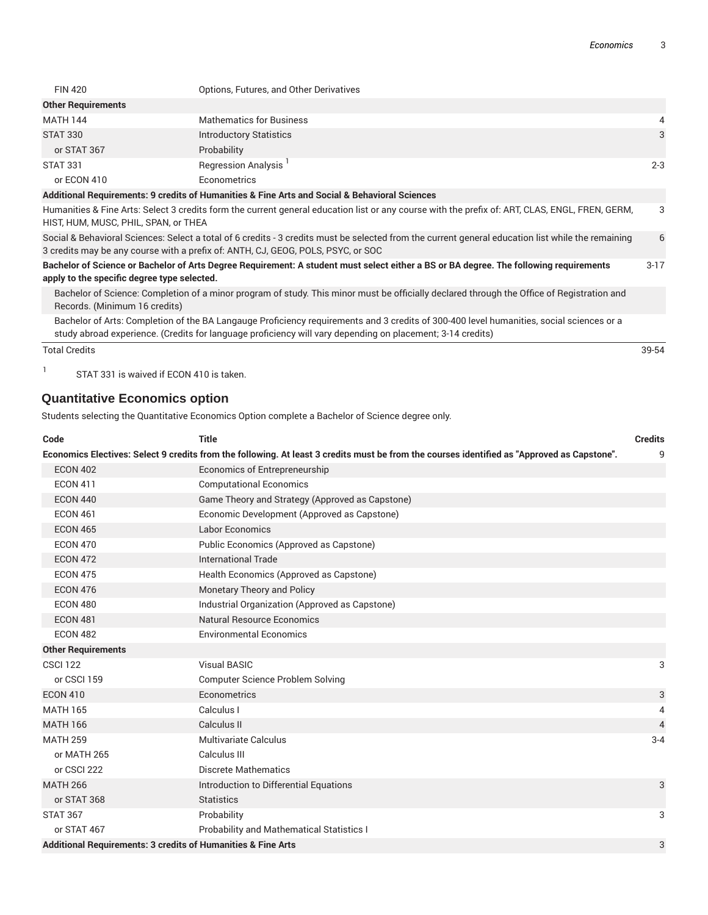| <b>FIN 420</b>            | Options, Futures, and Other Derivatives |         |
|---------------------------|-----------------------------------------|---------|
| <b>Other Requirements</b> |                                         |         |
| <b>MATH 144</b>           | <b>Mathematics for Business</b>         | 4       |
| <b>STAT 330</b>           | <b>Introductory Statistics</b>          | 3       |
| or STAT 367               | Probability                             |         |
| <b>STAT 331</b>           | Regression Analysis                     | $2 - 3$ |
| or ECON 410               | Econometrics                            |         |
|                           |                                         |         |

#### **Additional Requirements: 9 credits of Humanities & Fine Arts and Social & Behavioral Sciences**

Humanities & Fine Arts: Select 3 credits form the current general education list or any course with the prefix of: ART, CLAS, ENGL, FREN, GERM, HIST, HUM, MUSC, PHIL, SPAN, or THEA 3

Social & Behavioral Sciences: Select a total of 6 credits - 3 credits must be selected from the current general education list while the remaining 3 credits may be any course with a prefix of: ANTH, CJ, GEOG, POLS, PSYC, or SOC 6

Bachelor of Science or Bachelor of Arts Degree Requirement: A student must select either a BS or BA degree. The following requirements **apply to the specific degree type selected.** 3-17

Bachelor of Science: Completion of a minor program of study. This minor must be officially declared through the Office of Registration and Records. (Minimum 16 credits)

Bachelor of Arts: Completion of the BA Langauge Proficiency requirements and 3 credits of 300-400 level humanities, social sciences or a study abroad experience. (Credits for language proficiency will vary depending on placement; 3-14 credits)

Total Credits 39-54

1 STAT 331 is waived if ECON 410 is taken.

### **Quantitative Economics option**

Students selecting the Quantitative Economics Option complete a Bachelor of Science degree only.

| Code                                                         | <b>Title</b>                                                                                                                                | <b>Credits</b> |
|--------------------------------------------------------------|---------------------------------------------------------------------------------------------------------------------------------------------|----------------|
|                                                              | Economics Electives: Select 9 credits from the following. At least 3 credits must be from the courses identified as "Approved as Capstone". | 9              |
| <b>ECON 402</b>                                              | Economics of Entrepreneurship                                                                                                               |                |
| <b>ECON 411</b>                                              | <b>Computational Economics</b>                                                                                                              |                |
| <b>ECON 440</b>                                              | Game Theory and Strategy (Approved as Capstone)                                                                                             |                |
| <b>ECON 461</b>                                              | Economic Development (Approved as Capstone)                                                                                                 |                |
| <b>ECON 465</b>                                              | <b>Labor Economics</b>                                                                                                                      |                |
| <b>ECON 470</b>                                              | Public Economics (Approved as Capstone)                                                                                                     |                |
| <b>ECON 472</b>                                              | <b>International Trade</b>                                                                                                                  |                |
| <b>ECON 475</b>                                              | Health Economics (Approved as Capstone)                                                                                                     |                |
| <b>ECON 476</b>                                              | <b>Monetary Theory and Policy</b>                                                                                                           |                |
| <b>ECON 480</b>                                              | Industrial Organization (Approved as Capstone)                                                                                              |                |
| <b>ECON 481</b>                                              | Natural Resource Economics                                                                                                                  |                |
| <b>ECON 482</b>                                              | <b>Environmental Economics</b>                                                                                                              |                |
| <b>Other Requirements</b>                                    |                                                                                                                                             |                |
| <b>CSCI 122</b>                                              | <b>Visual BASIC</b>                                                                                                                         | 3              |
| or CSCI 159                                                  | Computer Science Problem Solving                                                                                                            |                |
| <b>ECON 410</b>                                              | Econometrics                                                                                                                                | 3              |
| <b>MATH 165</b>                                              | Calculus I                                                                                                                                  | 4              |
| <b>MATH 166</b>                                              | Calculus II                                                                                                                                 | $\overline{4}$ |
| <b>MATH 259</b>                                              | Multivariate Calculus                                                                                                                       | $3 - 4$        |
| or MATH 265                                                  | Calculus III                                                                                                                                |                |
| or CSCI 222                                                  | <b>Discrete Mathematics</b>                                                                                                                 |                |
| <b>MATH 266</b>                                              | Introduction to Differential Equations                                                                                                      | 3              |
| or STAT 368                                                  | <b>Statistics</b>                                                                                                                           |                |
| <b>STAT 367</b>                                              | Probability                                                                                                                                 | 3              |
| or STAT 467                                                  | Probability and Mathematical Statistics I                                                                                                   |                |
| Additional Requirements: 3 credits of Humanities & Fine Arts |                                                                                                                                             | 3              |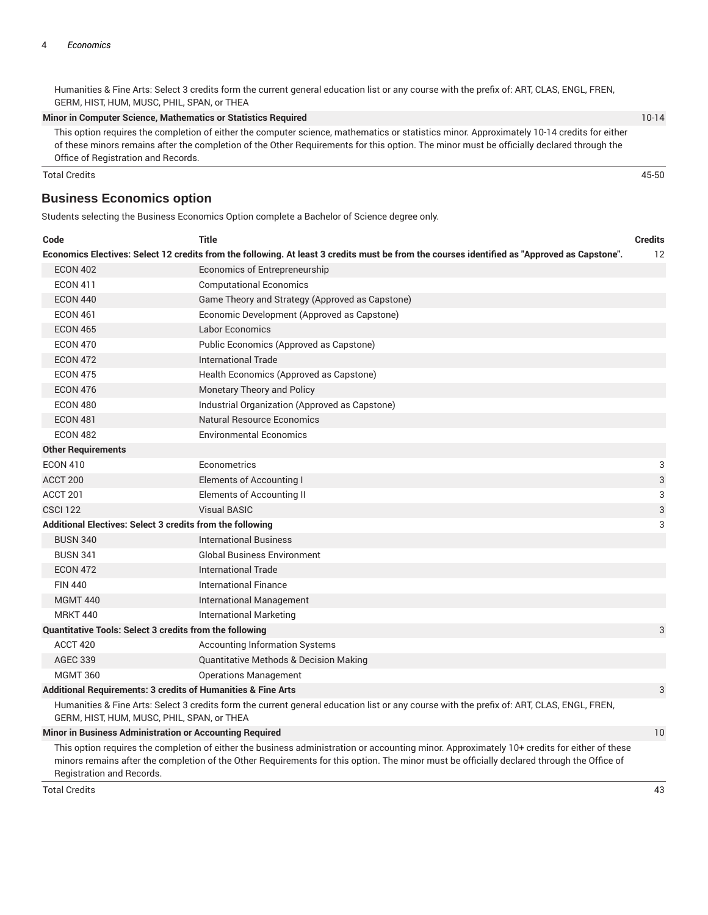Humanities & Fine Arts: Select 3 credits form the current general education list or any course with the prefix of: ART, CLAS, ENGL, FREN, GERM, HIST, HUM, MUSC, PHIL, SPAN, or THEA

**Minor in Computer Science, Mathematics or Statistics Required** 10-14

This option requires the completion of either the computer science, mathematics or statistics minor. Approximately 10-14 credits for either of these minors remains after the completion of the Other Requirements for this option. The minor must be officially declared through the Office of Registration and Records.

Total Credits 45-50

## **Business Economics option**

Students selecting the Business Economics Option complete a Bachelor of Science degree only.

| Code                                                                                                                                         | <b>Title</b>                                                                                                                                 | <b>Credits</b> |
|----------------------------------------------------------------------------------------------------------------------------------------------|----------------------------------------------------------------------------------------------------------------------------------------------|----------------|
|                                                                                                                                              | Economics Electives: Select 12 credits from the following. At least 3 credits must be from the courses identified as "Approved as Capstone". | 12             |
| <b>ECON 402</b>                                                                                                                              | Economics of Entrepreneurship                                                                                                                |                |
| <b>ECON 411</b>                                                                                                                              | <b>Computational Economics</b>                                                                                                               |                |
| <b>ECON 440</b>                                                                                                                              | Game Theory and Strategy (Approved as Capstone)                                                                                              |                |
| <b>ECON 461</b>                                                                                                                              | Economic Development (Approved as Capstone)                                                                                                  |                |
| <b>ECON 465</b>                                                                                                                              | <b>Labor Economics</b>                                                                                                                       |                |
| <b>ECON 470</b>                                                                                                                              | Public Economics (Approved as Capstone)                                                                                                      |                |
| <b>ECON 472</b>                                                                                                                              | International Trade                                                                                                                          |                |
| <b>ECON 475</b>                                                                                                                              | Health Economics (Approved as Capstone)                                                                                                      |                |
| <b>ECON 476</b>                                                                                                                              | Monetary Theory and Policy                                                                                                                   |                |
| <b>ECON 480</b>                                                                                                                              | Industrial Organization (Approved as Capstone)                                                                                               |                |
| <b>ECON 481</b>                                                                                                                              | Natural Resource Economics                                                                                                                   |                |
| <b>ECON 482</b>                                                                                                                              | <b>Environmental Economics</b>                                                                                                               |                |
| <b>Other Requirements</b>                                                                                                                    |                                                                                                                                              |                |
| <b>ECON 410</b>                                                                                                                              | Econometrics                                                                                                                                 | 3              |
| ACCT 200                                                                                                                                     | Elements of Accounting I                                                                                                                     | 3              |
| ACCT 201                                                                                                                                     | <b>Elements of Accounting II</b>                                                                                                             | 3              |
| <b>CSCI 122</b>                                                                                                                              | <b>Visual BASIC</b>                                                                                                                          | 3              |
| Additional Electives: Select 3 credits from the following                                                                                    |                                                                                                                                              | 3              |
| <b>BUSN 340</b>                                                                                                                              | <b>International Business</b>                                                                                                                |                |
| <b>BUSN 341</b>                                                                                                                              | <b>Global Business Environment</b>                                                                                                           |                |
| <b>ECON 472</b>                                                                                                                              | <b>International Trade</b>                                                                                                                   |                |
| <b>FIN 440</b>                                                                                                                               | <b>International Finance</b>                                                                                                                 |                |
| <b>MGMT 440</b>                                                                                                                              | <b>International Management</b>                                                                                                              |                |
| <b>MRKT 440</b>                                                                                                                              | <b>International Marketing</b>                                                                                                               |                |
| <b>Quantitative Tools: Select 3 credits from the following</b>                                                                               |                                                                                                                                              | 3              |
| ACCT 420                                                                                                                                     | <b>Accounting Information Systems</b>                                                                                                        |                |
| <b>AGEC 339</b>                                                                                                                              | <b>Quantitative Methods &amp; Decision Making</b>                                                                                            |                |
| <b>MGMT 360</b>                                                                                                                              | <b>Operations Management</b>                                                                                                                 |                |
| Additional Requirements: 3 credits of Humanities & Fine Arts                                                                                 |                                                                                                                                              |                |
| GERM, HIST, HUM, MUSC, PHIL, SPAN, or THEA                                                                                                   | Humanities & Fine Arts: Select 3 credits form the current general education list or any course with the prefix of: ART, CLAS, ENGL, FREN,    |                |
| Minor in Business Administration or Accounting Required                                                                                      |                                                                                                                                              | 10             |
| This option requires the completion of either the business administration or accounting minor. Approximately 10+ credits for either of these |                                                                                                                                              |                |

minors remains after the completion of the Other Requirements for this option. The minor must be officially declared through the Office of Registration and Records.